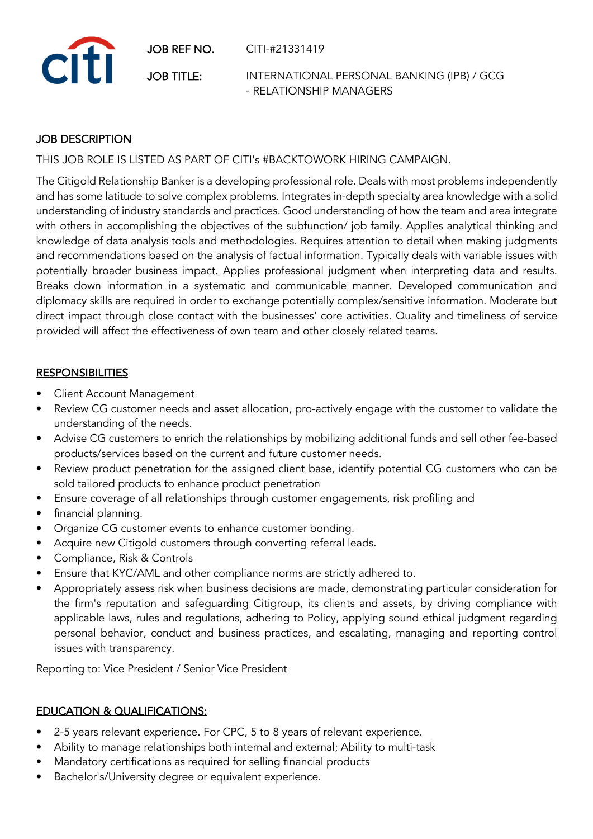JOB REF NO. CITI-#21331419



JOB TITLE: INTERNATIONAL PERSONAL BANKING (IPB) / GCG - RELATIONSHIP MANAGERS

## JOB DESCRIPTION

THIS JOB ROLE IS LISTED AS PART OF CITI's #BACKTOWORK HIRING CAMPAIGN.

The Citigold Relationship Banker is a developing professional role. Deals with most problems independently and has some latitude to solve complex problems. Integrates in-depth specialty area knowledge with a solid understanding of industry standards and practices. Good understanding of how the team and area integrate with others in accomplishing the objectives of the subfunction/ job family. Applies analytical thinking and knowledge of data analysis tools and methodologies. Requires attention to detail when making judgments and recommendations based on the analysis of factual information. Typically deals with variable issues with potentially broader business impact. Applies professional judgment when interpreting data and results. Breaks down information in a systematic and communicable manner. Developed communication and diplomacy skills are required in order to exchange potentially complex/sensitive information. Moderate but direct impact through close contact with the businesses' core activities. Quality and timeliness of service provided will affect the effectiveness of own team and other closely related teams.

## **RESPONSIBILITIES**

- Client Account Management
- Review CG customer needs and asset allocation, pro-actively engage with the customer to validate the understanding of the needs.
- Advise CG customers to enrich the relationships by mobilizing additional funds and sell other fee-based products/services based on the current and future customer needs.
- Review product penetration for the assigned client base, identify potential CG customers who can be sold tailored products to enhance product penetration
- Ensure coverage of all relationships through customer engagements, risk profiling and
- financial planning.
- Organize CG customer events to enhance customer bonding.
- Acquire new Citigold customers through converting referral leads.
- Compliance, Risk & Controls
- Ensure that KYC/AML and other compliance norms are strictly adhered to.
- Appropriately assess risk when business decisions are made, demonstrating particular consideration for the firm's reputation and safeguarding Citigroup, its clients and assets, by driving compliance with applicable laws, rules and regulations, adhering to Policy, applying sound ethical judgment regarding personal behavior, conduct and business practices, and escalating, managing and reporting control issues with transparency.

Reporting to: Vice President / Senior Vice President

## EDUCATION & QUALIFICATIONS:

- 2-5 years relevant experience. For CPC, 5 to 8 years of relevant experience.
- Ability to manage relationships both internal and external; Ability to multi-task
- Mandatory certifications as required for selling financial products
- Bachelor's/University degree or equivalent experience.